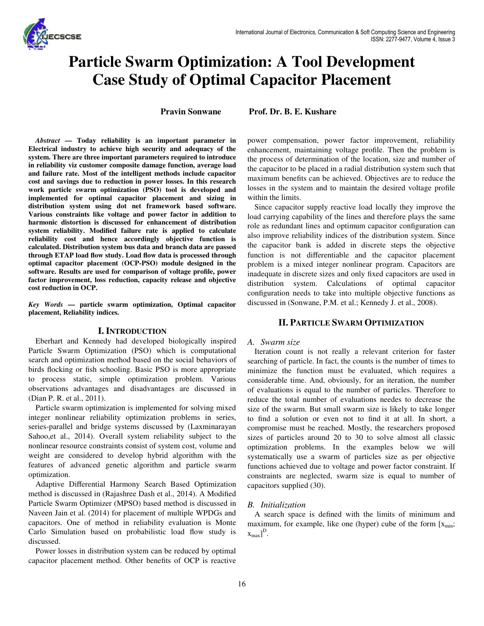

# **Particle Swarm Optimization: A Tool Development Case Study of Optimal Capacitor Placement**

**Pravin Sonwane Prof. Dr. B. E. Kushare** 

*Abstract* **— Today reliability is an important parameter in Electrical industry to achieve high security and adequacy of the system. There are three important parameters required to introduce in reliability viz customer composite damage function, average load and failure rate. Most of the intelligent methods include capacitor cost and savings due to reduction in power losses. In this research work particle swarm optimization (PSO) tool is developed and implemented for optimal capacitor placement and sizing in distribution system using dot net framework based software. Various constraints like voltage and power factor in addition to harmonic distortion is discussed for enhancement of distribution system reliability. Modified failure rate is applied to calculate reliability cost and hence accordingly objective function is calculated. Distribution system bus data and branch data are passed through ETAP load flow study. Load flow data is processed through optimal capacitor placement (OCP-PSO) module designed in the software. Results are used for comparison of voltage profile, power factor improvement, loss reduction, capacity release and objective cost reduction in OCP.** 

*Key Words* **— particle swarm optimization, Optimal capacitor placement, Reliability indices.** 

### **I. INTRODUCTION**

Eberhart and Kennedy had developed biologically inspired Particle Swarm Optimization (PSO) which is computational search and optimization method based on the social behaviors of birds flocking or fish schooling. Basic PSO is more appropriate to process static, simple optimization problem. Various observations advantages and disadvantages are discussed in (Dian P. R. et al., 2011).

Particle swarm optimization is implemented for solving mixed integer nonlinear reliability optimization problems in series, series-parallel and bridge systems discussed by (Laxminarayan Sahoo, et al., 2014). Overall system reliability subject to the nonlinear resource constraints consist of system cost, volume and weight are considered to develop hybrid algorithm with the features of advanced genetic algorithm and particle swarm optimization.

Adaptive Differential Harmony Search Based Optimization method is discussed in (Rajashree Dash et al., 2014). A Modified Particle Swarm Optimizer (MPSO) based method is discussed in Naveen Jain et al. (2014) for placement of multiple WPDGs and capacitors. One of method in reliability evaluation is Monte Carlo Simulation based on probabilistic load flow study is discussed.

Power losses in distribution system can be reduced by optimal capacitor placement method. Other benefits of OCP is reactive power compensation, power factor improvement, reliability enhancement, maintaining voltage profile. Then the problem is the process of determination of the location, size and number of the capacitor to be placed in a radial distribution system such that maximum benefits can be achieved. Objectives are to reduce the losses in the system and to maintain the desired voltage profile within the limits.

Since capacitor supply reactive load locally they improve the load carrying capability of the lines and therefore plays the same role as redundant lines and optimum capacitor configuration can also improve reliability indices of the distribution system. Since the capacitor bank is added in discrete steps the objective function is not differentiable and the capacitor placement problem is a mixed integer nonlinear program. Capacitors are inadequate in discrete sizes and only fixed capacitors are used in distribution system. Calculations of optimal capacitor configuration needs to take into multiple objective functions as discussed in (Sonwane, P.M. et al.; Kennedy J. et al., 2008).

## **II. PARTICLE SWARM OPTIMIZATION**

#### *A. Swarm size*

Iteration count is not really a relevant criterion for faster searching of particle. In fact, the counts is the number of times to minimize the function must be evaluated, which requires a considerable time. And, obviously, for an iteration, the number of evaluations is equal to the number of particles. Therefore to reduce the total number of evaluations needes to decrease the size of the swarm. But small swarm size is likely to take longer to find a solution or even not to find it at all. In short, a compromise must be reached. Mostly, the researchers proposed sizes of particles around 20 to 30 to solve almost all classic optimization problems. In the examples below we will systematically use a swarm of particles size as per objective functions achieved due to voltage and power factor constraint. If constraints are neglected, swarm size is equal to number of capacitors supplied (30).

#### *B. Initialization*

A search space is defined with the limits of minimum and maximum, for example, like one (hyper) cube of the form  $[x_{min}]$ ;  $[x_{max}]^D$ .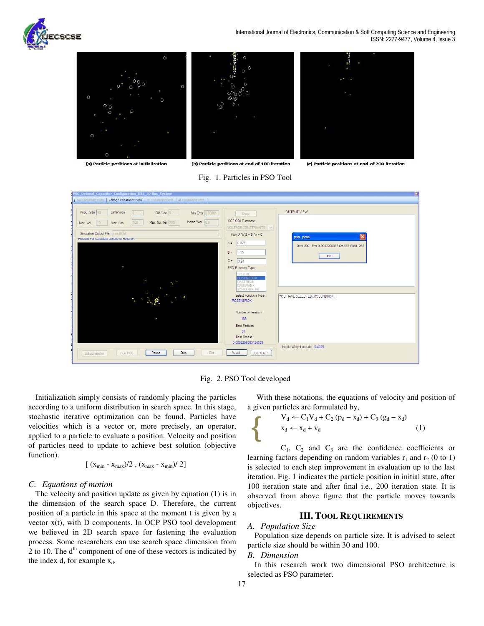



Fig. 1. Particles in PSO Tool

| PSO Optimal Capacitor Configuration IEEE 30-Bus System                                                                                                                                          |                                                                                                                                                                                                                       | $\mathbf{x}$                                                                        |
|-------------------------------------------------------------------------------------------------------------------------------------------------------------------------------------------------|-----------------------------------------------------------------------------------------------------------------------------------------------------------------------------------------------------------------------|-------------------------------------------------------------------------------------|
| No Constraint Data   Voltage Constraint Data   PF Constraint Data   All Constraint Data                                                                                                         |                                                                                                                                                                                                                       |                                                                                     |
| Popu. Size 40<br>Dimension<br>$Glo/Loc$ 0<br>Min Error 0.00001<br>Inertia Wei. 0.9<br>Max. No. Iter 200<br>100<br>Max. Vel.<br>Max. Pos.<br>$ 10\rangle$<br>Simulation Output File psoutfil.txt | Show<br>OCP OBJ Function:<br>VOLTAGE CONSTRAINTS V<br>$f(x) = A^x(2) + B^x(x) + C$                                                                                                                                    | <b>OUTPUT VIEW</b><br>Ι×<br>pso_pms                                                 |
| Process For Calculate Objective Function<br>$\bullet$<br>$\bullet$                                                                                                                              | 0.025<br>$A =$<br>3.25<br>$B =$<br>$C =$<br>3.24<br>PSO Function Type:<br><b>SPHERE</b><br><b>10SENBROK</b><br><b>RASTRIGIN</b><br><b>GRIEWANK</b><br><b>SCHAFFER F6</b><br>Select Function Type:<br><b>ROSENBROK</b> | Iter: 200 Err: 0.0002206083126323 Posi: 267<br>OK<br>YOU HAVE SELECTED::ROSENBROK:: |
| $\bullet$<br>Exit<br>Run PSO<br>Stop<br>Pause<br>Set parameter                                                                                                                                  | Number of Iteration<br>199<br>n.<br>Best Particle:<br>31<br>Best Fitness:<br>0.0002206083126323<br>About<br>CLR O/P                                                                                                   | Inertia Weight update: 0.4025                                                       |

Fig. 2. PSO Tool developed

Initialization simply consists of randomly placing the particles according to a uniform distribution in search space. In this stage, stochastic iterative optimization can be found. Particles have velocities which is a vector or, more precisely, an operator, applied to a particle to evaluate a position. Velocity and position of particles need to update to achieve best solution (objective function).

$$
[(x_{\min} - x_{\max})/2, (x_{\max} - x_{\min})/2]
$$

### *C. Equations of motion*

The velocity and position update as given by equation (1) is in the dimension of the search space D. Therefore, the current position of a particle in this space at the moment t is given by a vector x(t), with D components. In OCP PSO tool development we believed in 2D search space for fastening the evaluation process. Some researchers can use search space dimension from 2 to 10. The  $d<sup>th</sup>$  component of one of these vectors is indicated by the index d, for example  $x_d$ .

 With these notations, the equations of velocity and position of a given particles are formulated by,

$$
V_d \leftarrow C_1 V_d + C_2 (p_d - x_d) + C_3 (g_d - x_d)
$$
  

$$
x_d \leftarrow x_d + v_d
$$
 (1)

 $C_1$ ,  $C_2$  and  $C_3$  are the confidence coefficients or learning factors depending on random variables  $r_1$  and  $r_2$  (0 to 1) is selected to each step improvement in evaluation up to the last iteration. Fig. 1 indicates the particle position in initial state, after 100 iteration state and after final i.e., 200 iteration state. It is observed from above figure that the particle moves towards objectives.

## **III. TOOL REQUIREMENTS**

## *A. Population Size*

Population size depends on particle size. It is advised to select particle size should be within 30 and 100.

#### *B. Dimension*

In this research work two dimensional PSO architecture is selected as PSO parameter.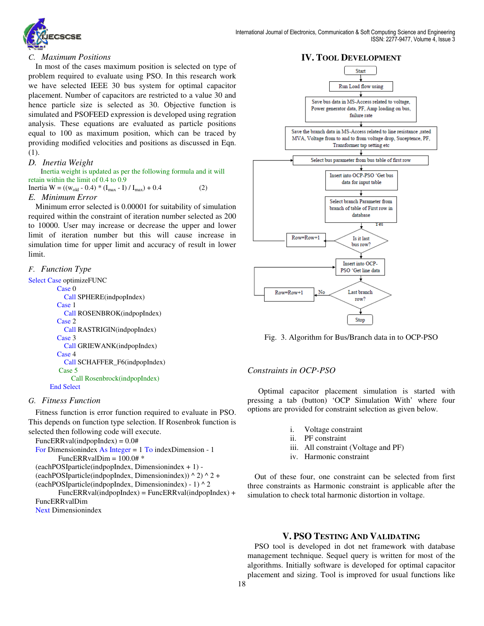

## *C. Maximum Positions*

In most of the cases maximum position is selected on type of problem required to evaluate using PSO. In this research work we have selected IEEE 30 bus system for optimal capacitor placement. Number of capacitors are restricted to a value 30 and hence particle size is selected as 30. Objective function is simulated and PSOFEED expression is developed using regration analysis. These equations are evaluated as particle positions equal to 100 as maximum position, which can be traced by providing modified velocities and positions as discussed in Eqn. (1).

## *D. Inertia Weight*

 Inertia weight is updated as per the following formula and it will retain within the limit of 0.4 to 0.9 Inertia  $W = ((w_{old} - 0.4) * (I_{max} - I) / I_{max}) + 0.4$  (2)

## *E. Minimum Error*

Minimum error selected is 0.00001 for suitability of simulation required within the constraint of iteration number selected as 200 to 10000. User may increase or decrease the upper and lower limit of iteration number but this will cause increase in simulation time for upper limit and accuracy of result in lower limit.

## *F. Function Type*

Select Case optimizeFUNC

```
 Case 0 
    Call SPHERE(indpopIndex) 
  Case 1 
    Call ROSENBROK(indpopIndex) 
  Case 2 
    Call RASTRIGIN(indpopIndex) 
  Case 3 
    Call GRIEWANK(indpopIndex) 
  Case 4 
    Call SCHAFFER_F6(indpopIndex) 
  Case 5
       Call Rosenbrock(indpopIndex)
End Select
```
# *G. Fitness Function*

Fitness function is error function required to evaluate in PSO. This depends on function type selection. If Rosenbrok function is selected then following code will execute.

 $FuncERRval(indpopIndex) = 0.0#$ For Dimensionindex As Integer = 1 To indexDimension - 1 FuncERRvalDim = 100.0# \* (eachPOSIparticle(indpopIndex, Dimensionindex + 1) - (eachPOSIparticle(indpopIndex, Dimensionindex))  $\wedge$  2)  $\wedge$  2 + (eachPOSIparticle(indpopIndex, Dimensionindex) - 1)  $\wedge$  2  $FuncERRval(indpopIndex) = FuncERRval(indpopIndex) +$ FuncERRvalDim

Next Dimensionindex



Fig. 3. Algorithm for Bus/Branch data in to OCP-PSO

# *Constraints in OCP-PSO*

Optimal capacitor placement simulation is started with pressing a tab (button) 'OCP Simulation With' where four options are provided for constraint selection as given below.

- i. Voltage constraint
- ii. PF constraint
- iii. All constraint (Voltage and PF)
- iv. Harmonic constraint

Out of these four, one constraint can be selected from first three constraints as Harmonic constraint is applicable after the simulation to check total harmonic distortion in voltage.

# **V. PSO TESTING AND VALIDATING**

PSO tool is developed in dot net framework with database management technique. Sequel query is written for most of the algorithms. Initially software is developed for optimal capacitor placement and sizing. Tool is improved for usual functions like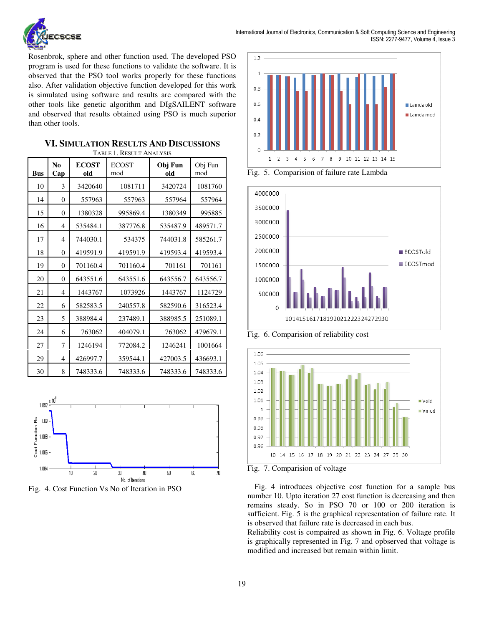

Rosenbrok, sphere and other function used. The developed PSO program is used for these functions to validate the software. It is observed that the PSO tool works properly for these functions also. After validation objective function developed for this work is simulated using software and results are compared with the other tools like genetic algorithm and DIgSAILENT software and observed that results obtained using PSO is much superior than other tools.

| <b>Bus</b> | N <sub>0</sub><br>Cap | <b>ECOST</b><br>old | <b>ECOST</b><br>mod | Obj Fun<br>old | Obj Fun<br>mod |
|------------|-----------------------|---------------------|---------------------|----------------|----------------|
| 10         | 3                     | 3420640             | 1081711             | 3420724        | 1081760        |
| 14         | $\boldsymbol{0}$      | 557963              | 557963              | 557964         | 557964         |
| 15         | $\theta$              | 1380328             | 995869.4            | 1380349        | 995885         |
| 16         | 4                     | 535484.1            | 387776.8            | 535487.9       | 489571.7       |
| 17         | $\overline{4}$        | 744030.1            | 534375              | 744031.8       | 585261.7       |
| 18         | $\boldsymbol{0}$      | 419591.9            | 419591.9            | 419593.4       | 419593.4       |
| 19         | $\theta$              | 701160.4            | 701160.4            | 701161         | 701161         |
| 20         | $\theta$              | 643551.6            | 643551.6            | 643556.7       | 643556.7       |
| 21         | $\overline{4}$        | 1443767             | 1073926             | 1443767        | 1124729        |
| 22         | 6                     | 582583.5            | 240557.8            | 582590.6       | 316523.4       |
| 23         | 5                     | 388984.4            | 237489.1            | 388985.5       | 251089.1       |
| 24         | 6                     | 763062              | 404079.1            | 763062         | 479679.1       |
| 27         | 7                     | 1246194             | 772084.2            | 1246241        | 1001664        |
| 29         | $\overline{4}$        | 426997.7            | 359544.1            | 427003.5       | 436693.1       |
| 30         | 8                     | 748333.6            | 748333.6            | 748333.6       | 748333.6       |

| <b>VI. SIMULATION RESULTS AND DISCUSSIONS</b> |
|-----------------------------------------------|
| TABLE 1. RESULT ANALYSIS                      |







Fig. 5. Comparision of failure rate Lambda



Fig. 6. Comparision of reliability cost



Fig. 7. Comparision of voltage

Fig. 4 introduces objective cost function for a sample bus number 10. Upto iteration 27 cost function is decreasing and then remains steady. So in PSO 70 or 100 or 200 iteration is sufficient. Fig. 5 is the graphical representation of failure rate. It is observed that failure rate is decreased in each bus.

Reliability cost is compaired as shown in Fig. 6. Voltage profile is graphically represented in Fig. 7 and opbserved that voltage is modified and increased but remain within limit.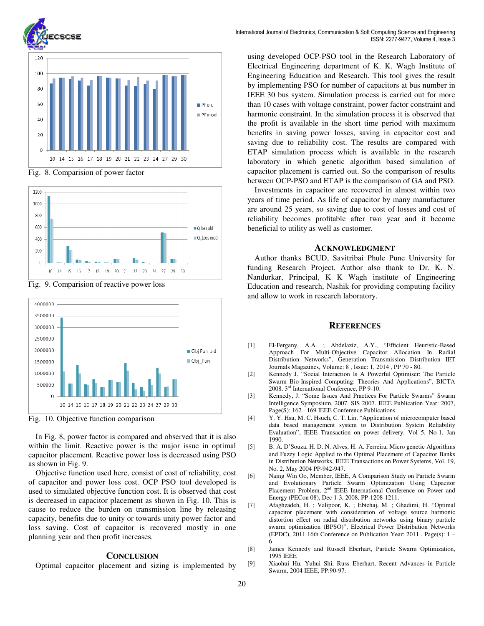

Fig. 8. Comparision of power factor



Fig. 9. Comparision of reactive power loss



Fig. 10. Objective function comparison

In Fig. 8, power factor is compared and observed that it is also within the limit. Reactive power is the major issue in optimal capacitor placement. Reactive power loss is decreased using PSO as shown in Fig. 9.

Objective function used here, consist of cost of reliability, cost of capacitor and power loss cost. OCP PSO tool developed is used to simulated objective function cost. It is observed that cost is decreased in capacitor placement as shown in Fig. 10. This is cause to reduce the burden on transmission line by releasing capacity, benefits due to unity or towards unity power factor and loss saving. Cost of capacitor is recovered mostly in one planning year and then profit increases.

#### **CONCLUSION**

Optimal capacitor placement and sizing is implemented by

using developed OCP-PSO tool in the Research Laboratory of Electrical Engineering department of K. K. Wagh Institute of Engineering Education and Research. This tool gives the result by implementing PSO for number of capacitors at bus number in IEEE 30 bus system. Simulation process is carried out for more than 10 cases with voltage constraint, power factor constraint and harmonic constraint. In the simulation process it is observed that the profit is available in the short time period with maximum benefits in saving power losses, saving in capacitor cost and saving due to reliability cost. The results are compared with ETAP simulation process which is available in the research laboratory in which genetic algorithm based simulation of capacitor placement is carried out. So the comparison of results between OCP-PSO and ETAP is the comparison of GA and PSO.

Investments in capacitor are recovered in almost within two years of time period. As life of capacitor by many manufacturer are around 25 years, so saving due to cost of losses and cost of reliability becomes profitable after two year and it become beneficial to utility as well as customer.

#### **ACKNOWLEDGMENT**

Author thanks BCUD, Savitribai Phule Pune University for funding Research Project. Author also thank to Dr. K. N. Nandurkar, Principal, K K Wagh institute of Engineering Education and research, Nashik for providing computing facility and allow to work in research laboratory.

#### **REFERENCES**

- [1] El-Fergany, A.A. ; Abdelaziz, A.Y., "Efficient Heuristic-Based Approach For Multi-Objective Capacitor Allocation In Radial Distribution Networks", Generation Transmission Distribution IET Journals Magazines, Volume: 8 , Issue: 1, 2014 , PP 70 - 80.
- [2] Kennedy J. "Social Interaction Is A Powerful Optimiser: The Particle Swarm Bio-Inspired Computing: Theories And Applications", BICTA 2008. 3rd International Conference, PP 9-10.
- [3] Kennedy, J. "Some Issues And Practices For Particle Swarms" Swarm Intelligence Symposium, 2007. SIS 2007. IEEE Publication Year: 2007, Page(S): 162 - 169 IEEE Conference Publications
- [4] Y. Y. Hsu, M. C. Hsueh, C. T. Lin, "Application of microcomputer based data based management system to Distribution System Reliability Evaluation", IEEE Transaction on power delivery, Vol 5, No-1, Jan 1990.
- [5] B. A. D'Souza, H. D. N. Alves, H. A. Ferreira, Micro genetic Algorithms and Fuzzy Logic Applied to the Optimal Placement of Capacitor Banks in Distribution Networks, IEEE Transactions on Power Systems, Vol. 19, No. 2, May 2004 PP-942-947.
- [6] Naing Win Oo, Member, IEEE, A Comparison Study on Particle Swarm and Evolutionary Particle Swarm Optimization Using Capacitor Placement Problem, 2<sup>nd</sup> IEEE International Conference on Power and Energy (PECon 08), Dec 1-3, 2008, PP-1208-1211.
- [7] Afaghzadeh, H. ; Valipoor, K. ; Ebtehaj, M. ; Ghadimi, H. "Optimal capacitor placement with consideration of voltage source harmonic distortion effect on radial distribution networks using binary particle swarm optimization (BPSO)", Electrical Power Distribution Networks (EPDC), 2011 16th Conference on Publication Year: 2011 , Page(s): 1 – 6
- [8] James Kennedy and Russell Eberhart, Particle Swarm Optimization, 1995 IEEE
- [9] Xiaohui Hu, Yuhui Shi, Russ Eberhart, Recent Advances in Particle Swarm, 2004 IEEE, PP:90-97.